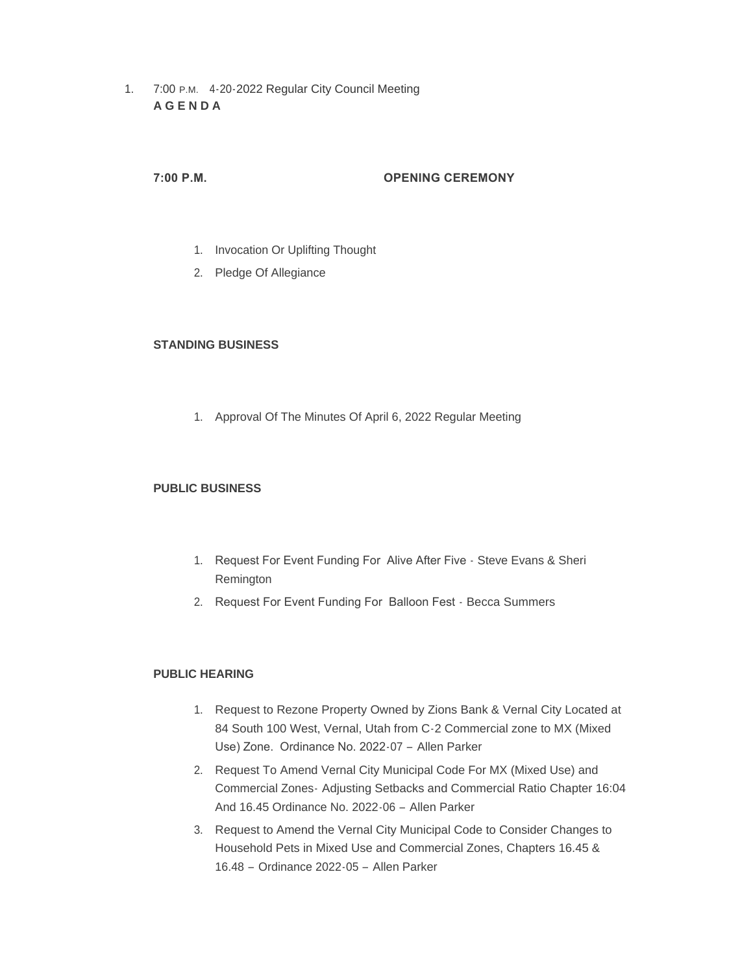1. 7:00 P.M. 4-20-2022 Regular City Council Meeting **A G E N D A**

# **7:00 P.M. OPENING CEREMONY**

- 1. Invocation Or Uplifting Thought
- 2. Pledge Of Allegiance

## **STANDING BUSINESS**

1. Approval Of The Minutes Of April 6, 2022 Regular Meeting

## **PUBLIC BUSINESS**

- 1. Request For Event Funding For Alive After Five Steve Evans & Sheri Remington
- 2. Request For Event Funding For Balloon Fest Becca Summers

## **PUBLIC HEARING**

- 1. Request to Rezone Property Owned by Zions Bank & Vernal City Located at 84 South 100 West, Vernal, Utah from C-2 Commercial zone to MX (Mixed Use) Zone. Ordinance No. 2022-07 – Allen Parker
- 2. Request To Amend Vernal City Municipal Code For MX (Mixed Use) and Commercial Zones- Adjusting Setbacks and Commercial Ratio Chapter 16:04 And 16.45 Ordinance No. 2022-06 – Allen Parker
- 3. Request to Amend the Vernal City Municipal Code to Consider Changes to Household Pets in Mixed Use and Commercial Zones, Chapters 16.45 & 16.48 – Ordinance 2022-05 – Allen Parker